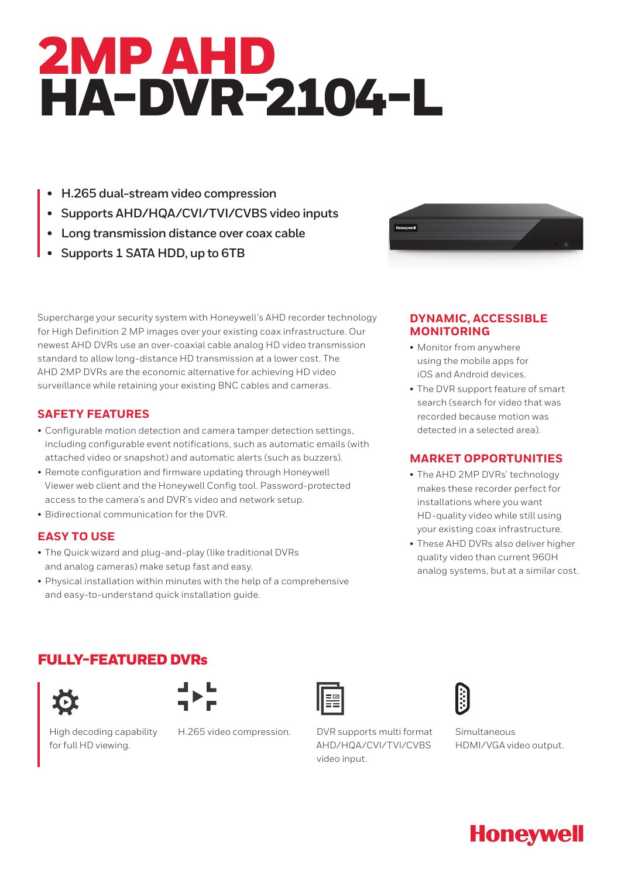# 2MP AHD HA-DVR-2104-L

- **• H.265 dual-stream video compression**
- **• Supports AHD/HQA/CVI/TVI/CVBS video inputs**
- **• Long transmission distance over coax cable**
- **• Supports 1 SATA HDD, up to 6TB**



Supercharge your security system with Honeywell's AHD recorder technology for High Definition 2 MP images over your existing coax infrastructure. Our newest AHD DVRs use an over-coaxial cable analog HD video transmission standard to allow long-distance HD transmission at a lower cost. The AHD 2MP DVRs are the economic alternative for achieving HD video surveillance while retaining your existing BNC cables and cameras.

## **SAFETY FEATURES**

- Configurable motion detection and camera tamper detection settings, including configurable event notifications, such as automatic emails (with attached video or snapshot) and automatic alerts (such as buzzers).
- Remote configuration and firmware updating through Honeywell Viewer web client and the Honeywell Config tool. Password-protected access to the camera's and DVR's video and network setup.
- Bidirectional communication for the DVR.

## **EASY TO USE**

- The Quick wizard and plug-and-play (like traditional DVRs and analog cameras) make setup fast and easy.
- Physical installation within minutes with the help of a comprehensive and easy-to-understand quick installation guide.

## **DYNAMIC, ACCESSIBLE MONITORING**

- Monitor from anywhere using the mobile apps for iOS and Android devices.
- The DVR support feature of smart search (search for video that was recorded because motion was detected in a selected area).

## **MARKET OPPORTUNITIES**

- The AHD 2MP DVRs' technology makes these recorder perfect for installations where you want HD-quality video while still using your existing coax infrastructure.
- These AHD DVRs also deliver higher quality video than current 960H analog systems, but at a similar cost.

## FULLY-FEATURED DVRs





High decoding capability for full HD viewing.



H.265 video compression. DVR supports multi format AHD/HQA/CVI/TVI/CVBS video input.



Simultaneous HDMI/VGA video output.